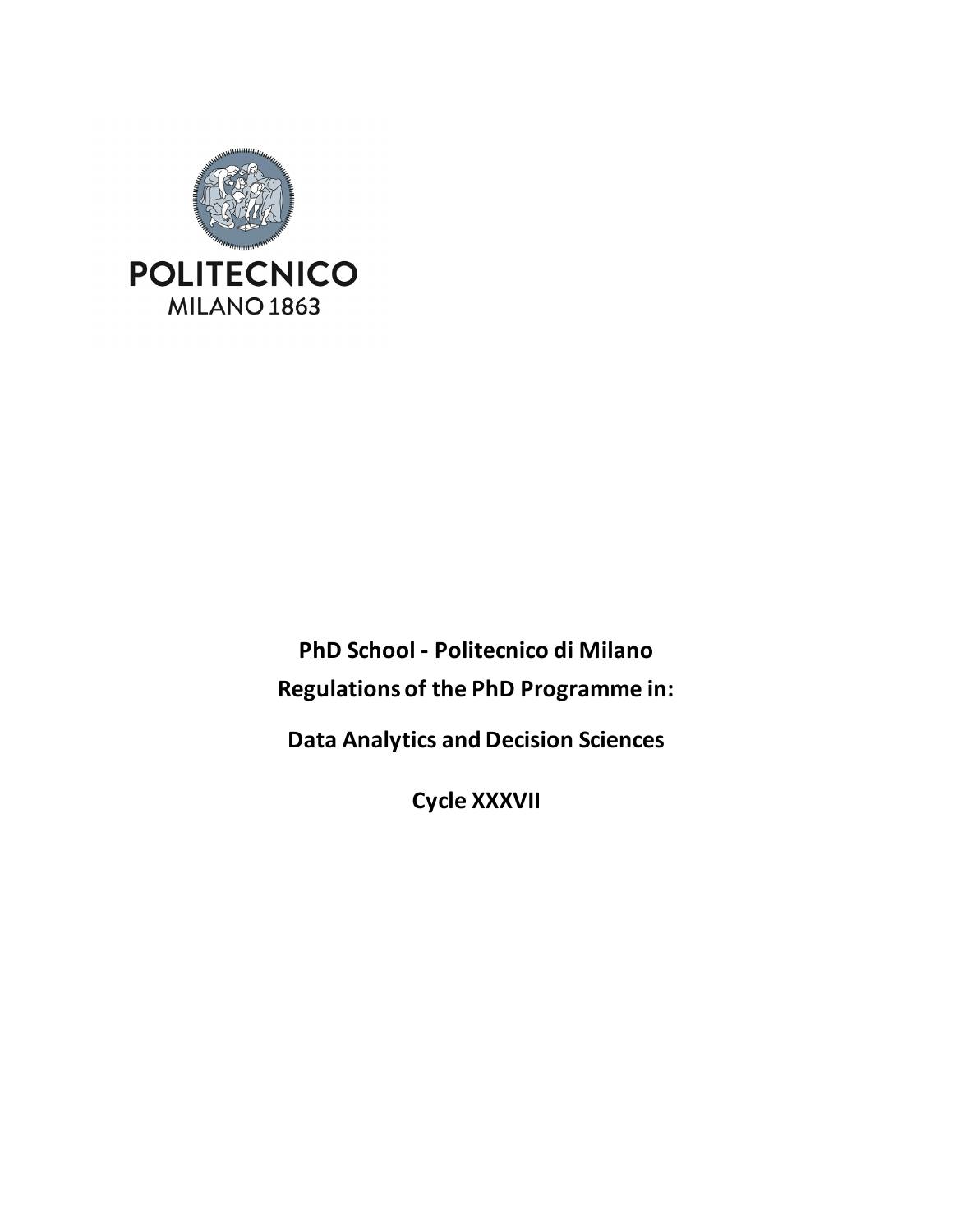

**PhD School - Politecnico di Milano Regulations of the PhD Programme in:**

**Data Analytics and Decision Sciences**

**Cycle XXXVII**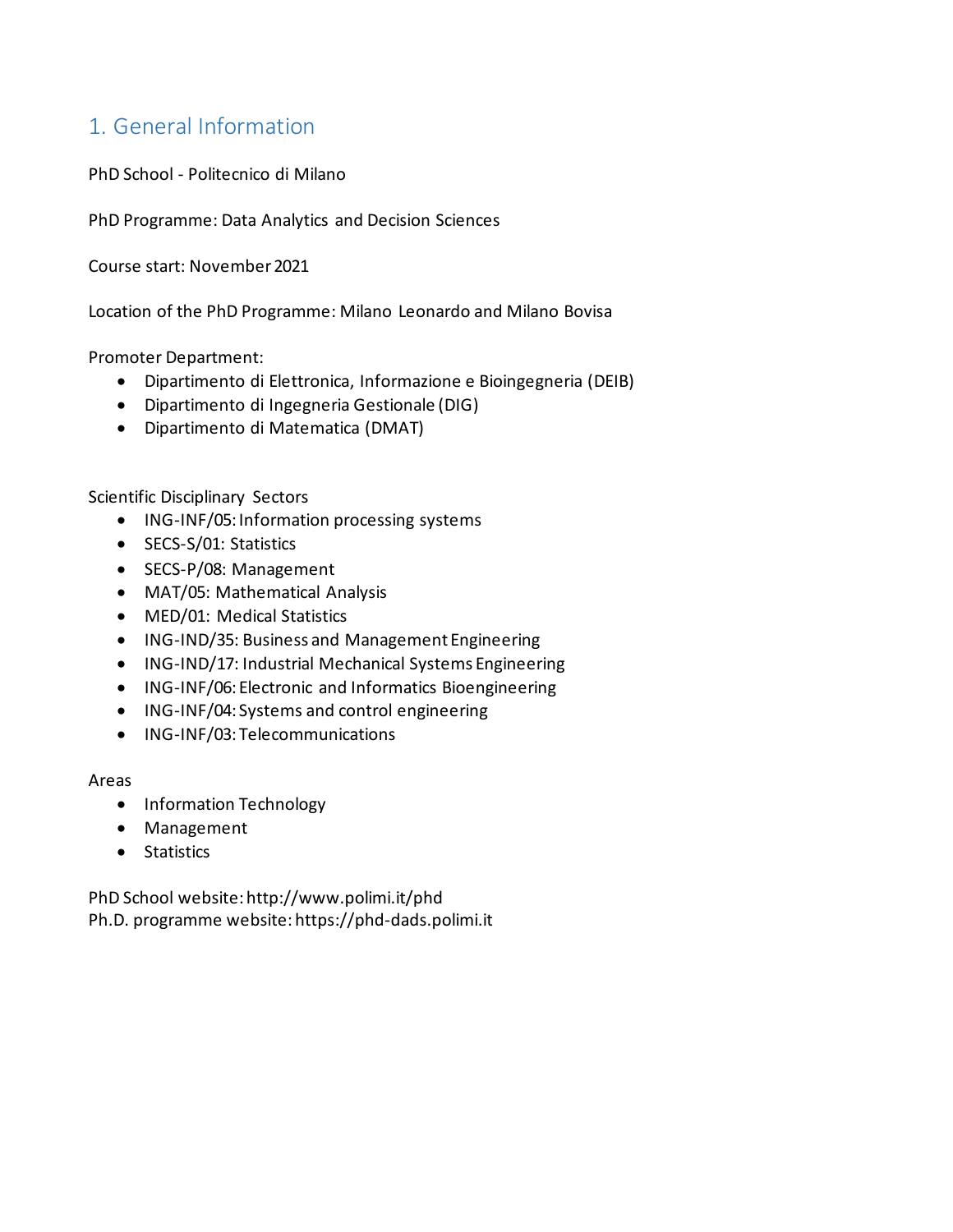# 1. General Information

PhD School - Politecnico di Milano

PhD Programme: Data Analytics and Decision Sciences

Course start: November 2021

Location of the PhD Programme: Milano Leonardo and Milano Bovisa

Promoter Department:

- Dipartimento di Elettronica, Informazione e Bioingegneria (DEIB)
- Dipartimento di Ingegneria Gestionale (DIG)
- Dipartimento di Matematica (DMAT)

Scientific Disciplinary Sectors

- ING-INF/05: Information processing systems
- SECS-S/01: Statistics
- SECS-P/08: Management
- MAT/05: Mathematical Analysis
- MED/01: Medical Statistics
- ING-IND/35: Business and Management Engineering
- ING-IND/17: Industrial Mechanical Systems Engineering
- ING-INF/06: Electronic and Informatics Bioengineering
- ING-INF/04: Systems and control engineering
- ING-INF/03: Telecommunications

#### Areas

- Information Technology
- Management
- Statistics

PhD School website: http://www.polimi.it/phd Ph.D. programme website: https://phd-dads.polimi.it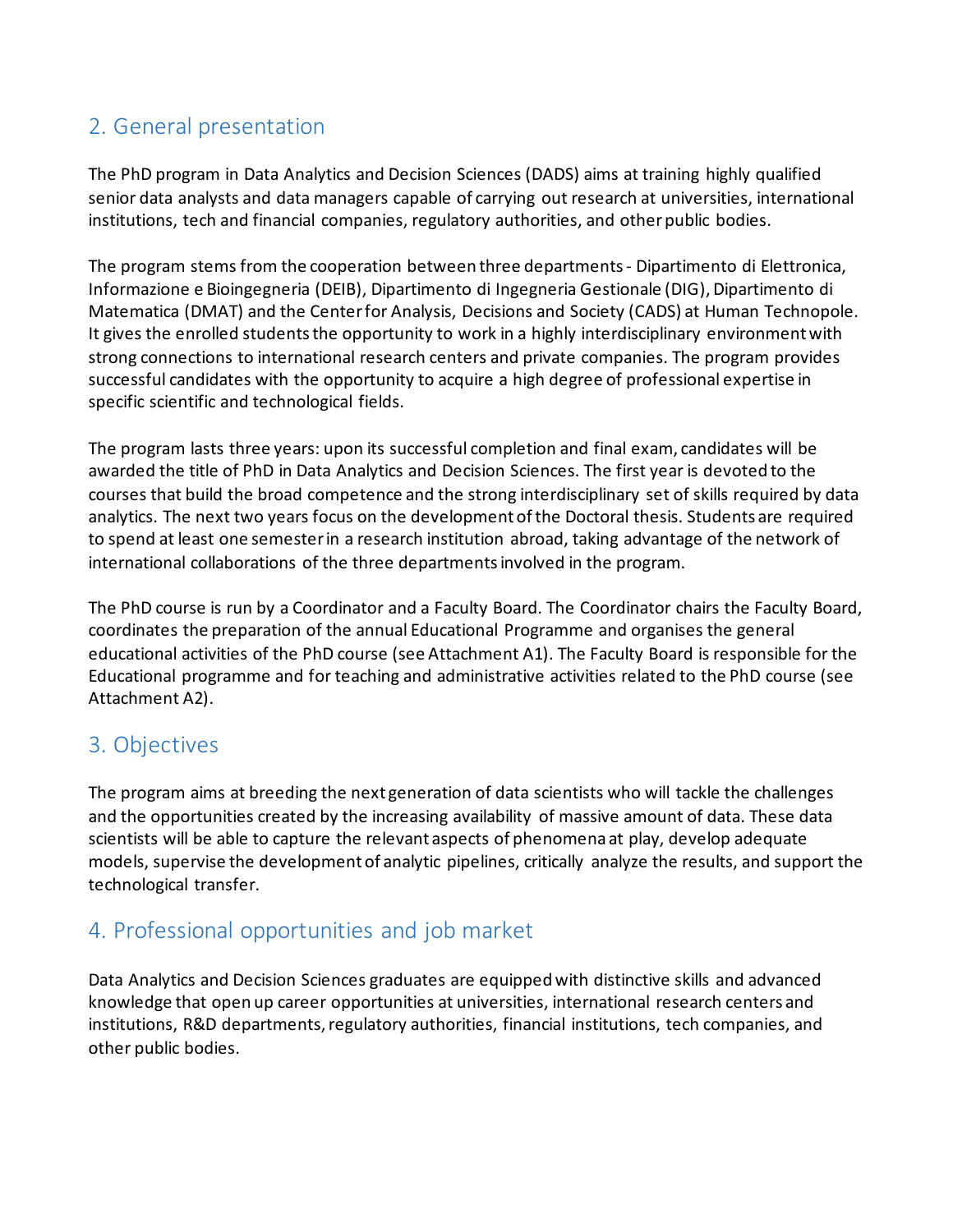# 2. General presentation

The PhD program in Data Analytics and Decision Sciences (DADS) aims at training highly qualified senior data analysts and data managers capable of carrying out research at universities, international institutions, tech and financial companies, regulatory authorities, and other public bodies.

The program stems from the cooperation between three departments - Dipartimento di Elettronica, Informazione e Bioingegneria (DEIB), Dipartimento di Ingegneria Gestionale (DIG), Dipartimento di Matematica (DMAT) and the Center for Analysis, Decisions and Society (CADS) at Human Technopole. It gives the enrolled students the opportunity to work in a highly interdisciplinary environment with strong connections to international research centers and private companies. The program provides successful candidates with the opportunity to acquire a high degree of professional expertise in specific scientific and technological fields.

The program lasts three years: upon its successful completion and final exam, candidates will be awarded the title of PhD in Data Analytics and Decision Sciences. The first year is devoted to the courses that build the broad competence and the strong interdisciplinary set of skills required by data analytics. The next two years focus on the development of the Doctoral thesis. Students are required to spend at least one semester in a research institution abroad, taking advantage of the network of international collaborations of the three departments involved in the program.

The PhD course is run by a Coordinator and a Faculty Board. The Coordinator chairs the Faculty Board, coordinates the preparation of the annual Educational Programme and organises the general educational activities of the PhD course (see Attachment A1). The Faculty Board is responsible for the Educational programme and for teaching and administrative activities related to the PhD course (see Attachment A2).

### 3. Objectives

The program aims at breeding the next generation of data scientists who will tackle the challenges and the opportunities created by the increasing availability of massive amount of data. These data scientists will be able to capture the relevant aspects of phenomena at play, develop adequate models, supervise the development of analytic pipelines, critically analyze the results, and support the technological transfer.

# 4. Professional opportunities and job market

Data Analytics and Decision Sciences graduates are equipped with distinctive skills and advanced knowledge that open up career opportunities at universities, international research centers and institutions, R&D departments, regulatory authorities, financial institutions, tech companies, and other public bodies.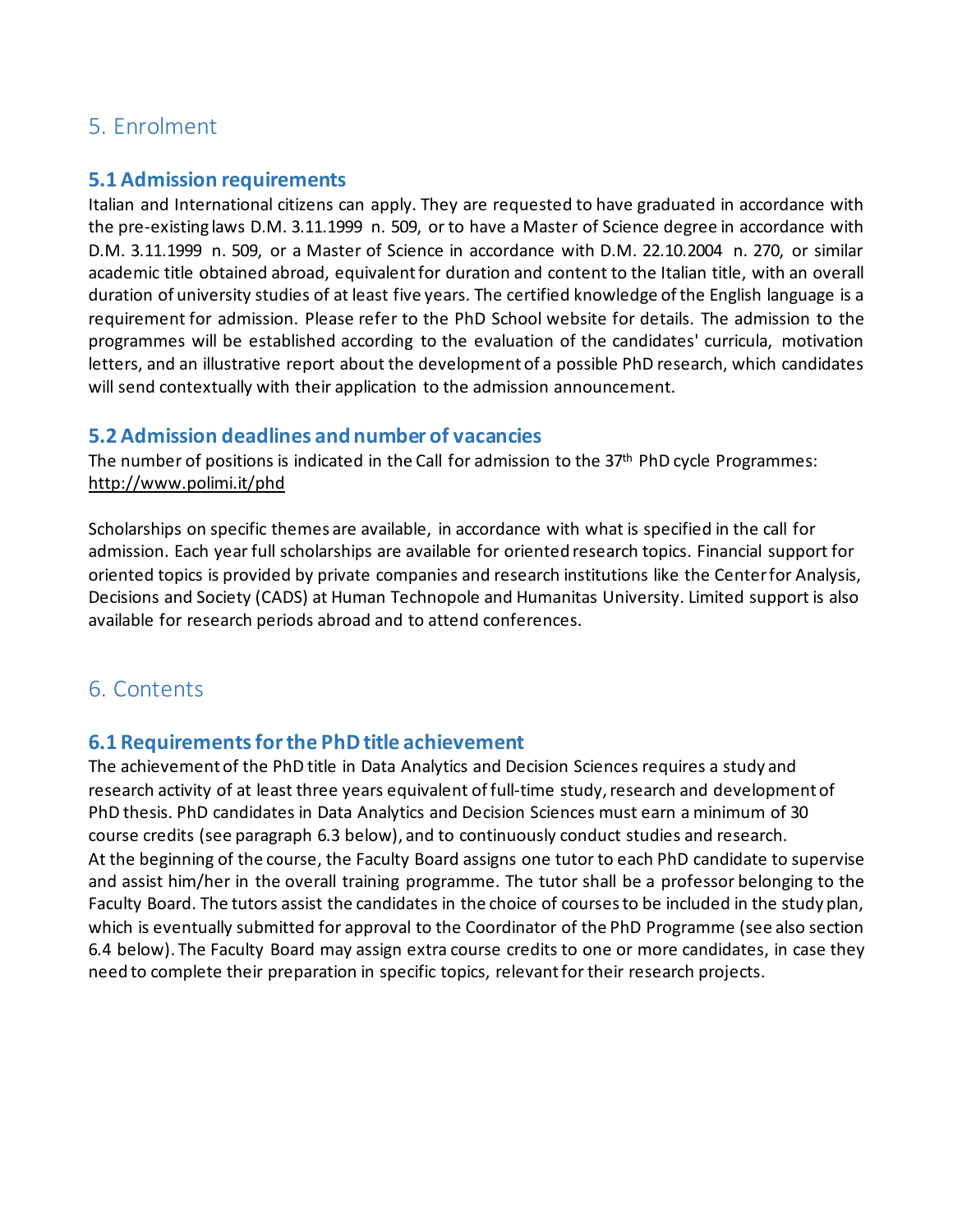## 5. Enrolment

#### **5.1 Admission requirements**

Italian and International citizens can apply. They are requested to have graduated in accordance with the pre-existing laws D.M. 3.11.1999 n. 509, or to have a Master of Science degree in accordance with D.M. 3.11.1999 n. 509, or a Master of Science in accordance with D.M. 22.10.2004 n. 270, or similar academic title obtained abroad, equivalent for duration and content to the Italian title, with an overall duration of university studies of at least five years. The certified knowledge of the English language is a requirement for admission. Please refer to the PhD School website for details. The admission to the programmes will be established according to the evaluation of the candidates' curricula, motivation letters, and an illustrative report about the development of a possible PhD research, which candidates will send contextually with their application to the admission announcement.

#### **5.2 Admission deadlines and number of vacancies**

The number of positions is indicated in the Call for admission to the 37<sup>th</sup> PhD cycle Programmes: <http://www.polimi.it/phd>

Scholarships on specific themes are available, in accordance with what is specified in the call for admission. Each year full scholarships are available for oriented research topics. Financial support for oriented topics is provided by private companies and research institutions like the Center for Analysis, Decisions and Society (CADS) at Human Technopole and Humanitas University. Limited support is also available for research periods abroad and to attend conferences.

### 6. Contents

### **6.1 Requirements for the PhD title achievement**

The achievement of the PhD title in Data Analytics and Decision Sciences requires a study and research activity of at least three years equivalent of full-time study, research and development of PhD thesis. PhD candidates in Data Analytics and Decision Sciences must earn a minimum of 30 course credits (see paragraph 6.3 below), and to continuously conduct studies and research. At the beginning of the course, the Faculty Board assigns one tutor to each PhD candidate to supervise and assist him/her in the overall training programme. The tutor shall be a professor belonging to the Faculty Board. The tutors assist the candidates in the choice of courses to be included in the study plan, which is eventually submitted for approval to the Coordinator of the PhD Programme (see also section 6.4 below). The Faculty Board may assign extra course credits to one or more candidates, in case they need to complete their preparation in specific topics, relevant for their research projects.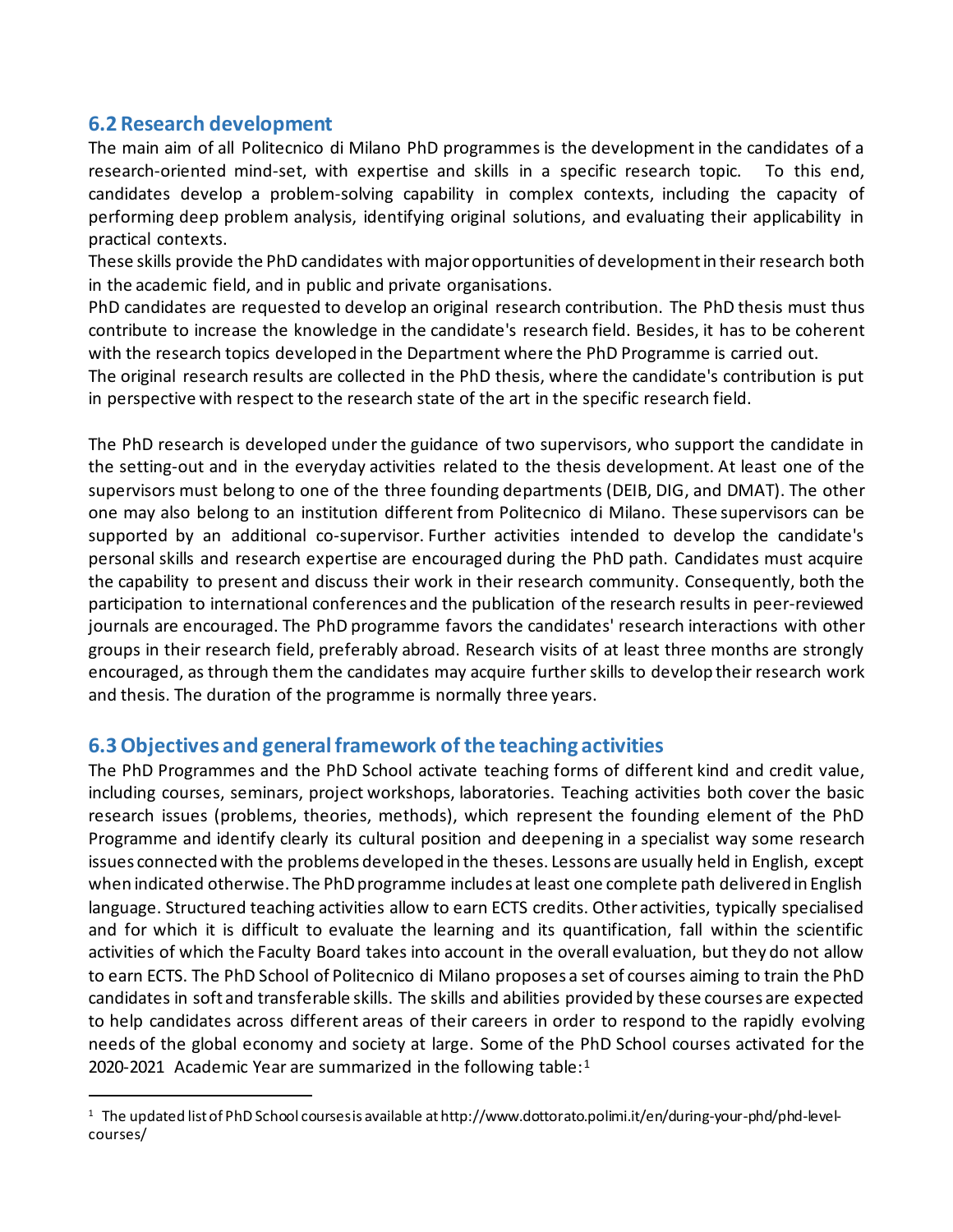#### **6.2 Research development**

The main aim of all Politecnico di Milano PhD programmes is the development in the candidates of a research-oriented mind-set, with expertise and skills in a specific research topic. To this end, candidates develop a problem-solving capability in complex contexts, including the capacity of performing deep problem analysis, identifying original solutions, and evaluating their applicability in practical contexts.

These skills provide the PhD candidates with major opportunities of development in their research both in the academic field, and in public and private organisations.

PhD candidates are requested to develop an original research contribution. The PhD thesis must thus contribute to increase the knowledge in the candidate's research field. Besides, it has to be coherent with the research topics developed in the Department where the PhD Programme is carried out.

The original research results are collected in the PhD thesis, where the candidate's contribution is put in perspective with respect to the research state of the art in the specific research field.

The PhD research is developed under the guidance of two supervisors, who support the candidate in the setting-out and in the everyday activities related to the thesis development. At least one of the supervisors must belong to one of the three founding departments (DEIB, DIG, and DMAT). The other one may also belong to an institution different from Politecnico di Milano. These supervisors can be supported by an additional co-supervisor. Further activities intended to develop the candidate's personal skills and research expertise are encouraged during the PhD path. Candidates must acquire the capability to present and discuss their work in their research community. Consequently, both the participation to international conferences and the publication of the research results in peer-reviewed journals are encouraged. The PhD programme favors the candidates' research interactions with other groups in their research field, preferably abroad. Research visits of at least three months are strongly encouraged, as through them the candidates may acquire further skills to develop their research work and thesis. The duration of the programme is normally three years.

#### **6.3 Objectives and general framework of the teaching activities**

The PhD Programmes and the PhD School activate teaching forms of different kind and credit value, including courses, seminars, project workshops, laboratories. Teaching activities both cover the basic research issues (problems, theories, methods), which represent the founding element of the PhD Programme and identify clearly its cultural position and deepening in a specialist way some research issues connected with the problems developed in the theses. Lessons are usually held in English, except when indicated otherwise. The PhD programme includes at least one complete path delivered in English language. Structured teaching activities allow to earn ECTS credits. Other activities, typically specialised and for which it is difficult to evaluate the learning and its quantification, fall within the scientific activities of which the Faculty Board takes into account in the overall evaluation, but they do not allow to earn ECTS. The PhD School of Politecnico di Milano proposes a set of courses aiming to train the PhD candidates in soft and transferable skills. The skills and abilities provided by these courses are expected to help candidates across different areas of their careers in order to respond to the rapidly evolving needs of the global economy and society at large. Some of the PhD School courses activated for the 2020-202[1](#page-4-0) Academic Year are summarized in the following table: $1$ 

<span id="page-4-0"></span><sup>&</sup>lt;sup>1</sup> The updated list of PhD School courses is available at http://www.dottorato.polimi.it/en/during-your-phd/phd-levelcourses/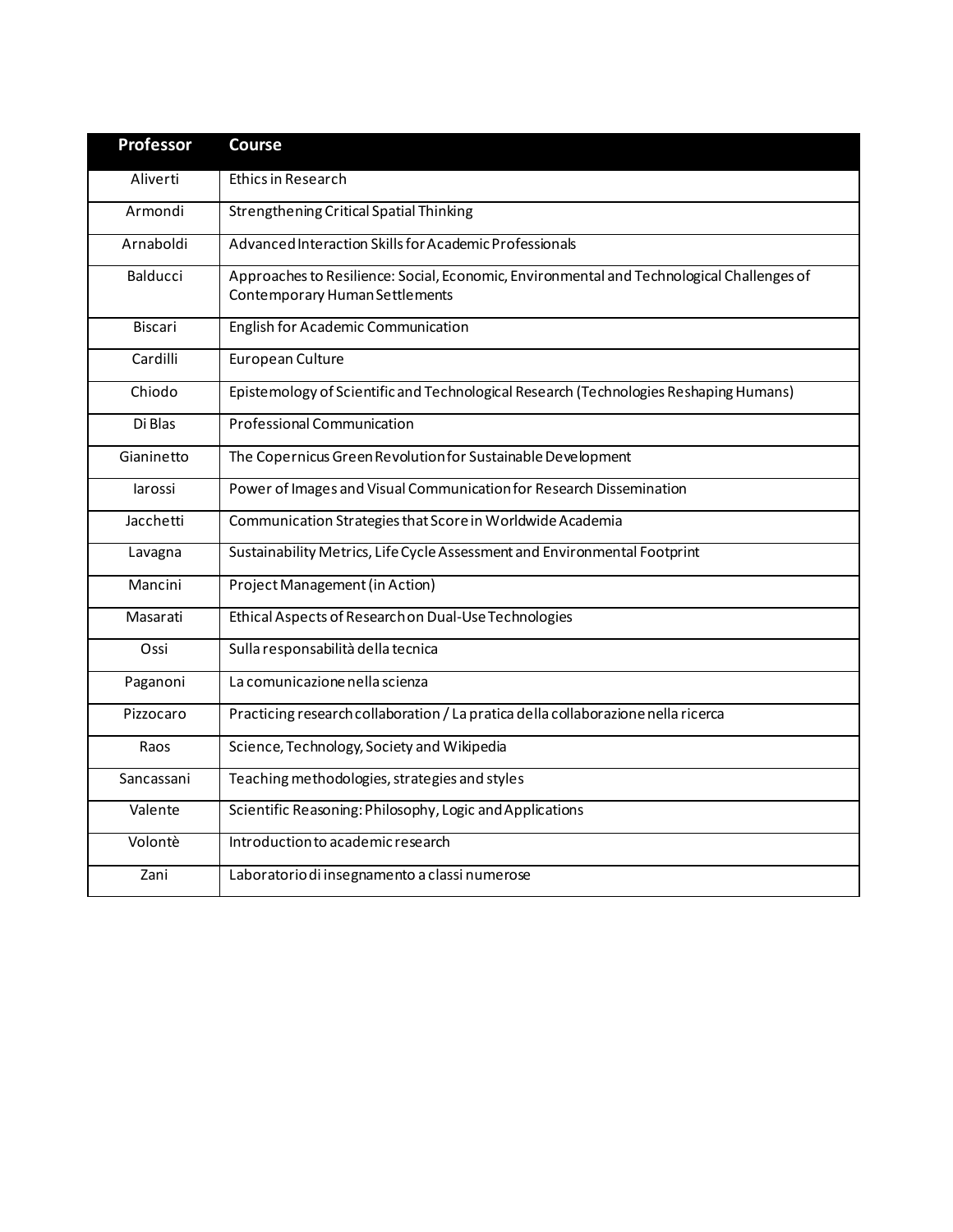| <b>Professor</b> | <b>Course</b>                                                                                                               |  |
|------------------|-----------------------------------------------------------------------------------------------------------------------------|--|
| Aliverti         | <b>Ethics in Research</b>                                                                                                   |  |
| Armondi          | Strengthening Critical Spatial Thinking                                                                                     |  |
| Arnaboldi        | Advanced Interaction Skills for Academic Professionals                                                                      |  |
| <b>Balducci</b>  | Approaches to Resilience: Social, Economic, Environmental and Technological Challenges of<br>Contemporary Human Settlements |  |
| Biscari          | <b>English for Academic Communication</b>                                                                                   |  |
| Cardilli         | European Culture                                                                                                            |  |
| Chiodo           | Epistemology of Scientific and Technological Research (Technologies Reshaping Humans)                                       |  |
| Di Blas          | <b>Professional Communication</b>                                                                                           |  |
| Gianinetto       | The Copernicus Green Revolution for Sustainable Development                                                                 |  |
| larossi          | Power of Images and Visual Communication for Research Dissemination                                                         |  |
| Jacchetti        | Communication Strategies that Score in Worldwide Academia                                                                   |  |
| Lavagna          | Sustainability Metrics, Life Cycle Assessment and Environmental Footprint                                                   |  |
| Mancini          | Project Management (in Action)                                                                                              |  |
| Masarati         | Ethical Aspects of Research on Dual-Use Technologies                                                                        |  |
| Ossi             | Sulla responsabilità della tecnica                                                                                          |  |
| Paganoni         | La comunicazione nella scienza                                                                                              |  |
| Pizzocaro        | Practicing research collaboration / La pratica della collaborazione nella ricerca                                           |  |
| Raos             | Science, Technology, Society and Wikipedia                                                                                  |  |
| Sancassani       | Teaching methodologies, strategies and styles                                                                               |  |
| Valente          | Scientific Reasoning: Philosophy, Logic and Applications                                                                    |  |
| Volontè          | Introduction to academic research                                                                                           |  |
| Zani             | Laboratorio di insegnamento a classi numerose                                                                               |  |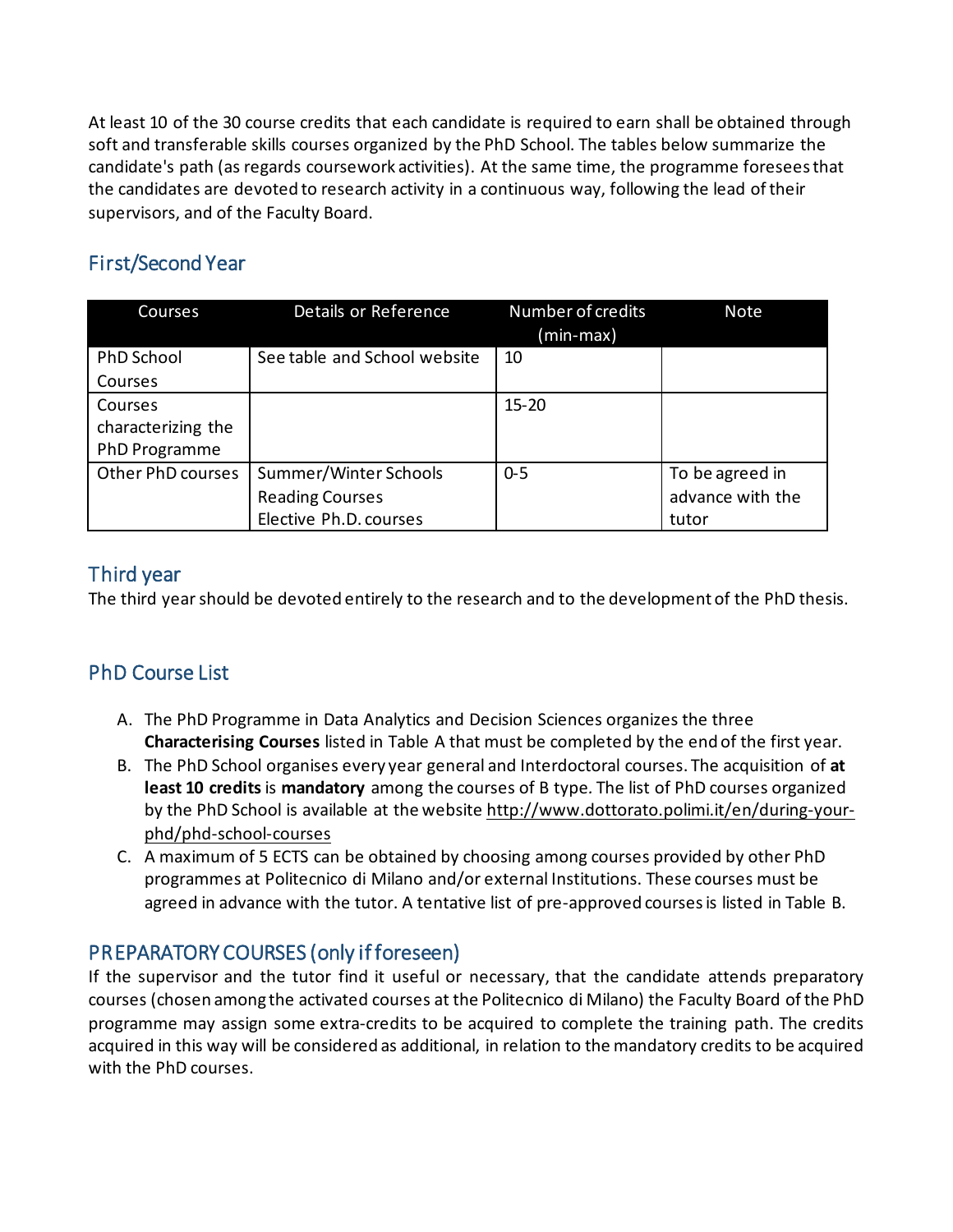At least 10 of the 30 course credits that each candidate is required to earn shall be obtained through soft and transferable skills courses organized by the PhD School. The tables below summarize the candidate's path (as regards coursework activities). At the same time, the programme foresees that the candidates are devoted to research activity in a continuous way, following the lead of their supervisors, and of the Faculty Board.

# First/Second Year

| Courses            | Details or Reference         | Number of credits | <b>Note</b>      |
|--------------------|------------------------------|-------------------|------------------|
|                    |                              | (min-max)         |                  |
| PhD School         | See table and School website | 10                |                  |
| Courses            |                              |                   |                  |
| Courses            |                              | $15 - 20$         |                  |
| characterizing the |                              |                   |                  |
| PhD Programme      |                              |                   |                  |
| Other PhD courses  | Summer/Winter Schools        | $0 - 5$           | To be agreed in  |
|                    | <b>Reading Courses</b>       |                   | advance with the |
|                    | Elective Ph.D. courses       |                   | tutor            |

### Third year

The third year should be devoted entirely to the research and to the development of the PhD thesis.

### PhD Course List

- A. The PhD Programme in Data Analytics and Decision Sciences organizes the three **Characterising Courses** listed in Table A that must be completed by the end of the first year.
- B. The PhD School organises every year general and Interdoctoral courses. The acquisition of **at least 10 credits** is **mandatory** among the courses of B type*.* The list of PhD courses organized by the PhD School is available at the website [http://www.dottorato.polimi.it/en/during-your](http://www.dottorato.polimi.it/en/during-your-phd/phd-school-courses)[phd/phd-school-courses](http://www.dottorato.polimi.it/en/during-your-phd/phd-school-courses)
- C. A maximum of 5 ECTS can be obtained by choosing among courses provided by other PhD programmes at Politecnico di Milano and/or external Institutions. These courses must be agreed in advance with the tutor. A tentative list of pre-approved courses is listed in Table B.

### PREPARATORY COURSES (only if foreseen)

If the supervisor and the tutor find it useful or necessary, that the candidate attends preparatory courses (chosen among the activated courses at the Politecnico di Milano) the Faculty Board of the PhD programme may assign some extra-credits to be acquired to complete the training path. The credits acquired in this way will be considered as additional, in relation to the mandatory credits to be acquired with the PhD courses.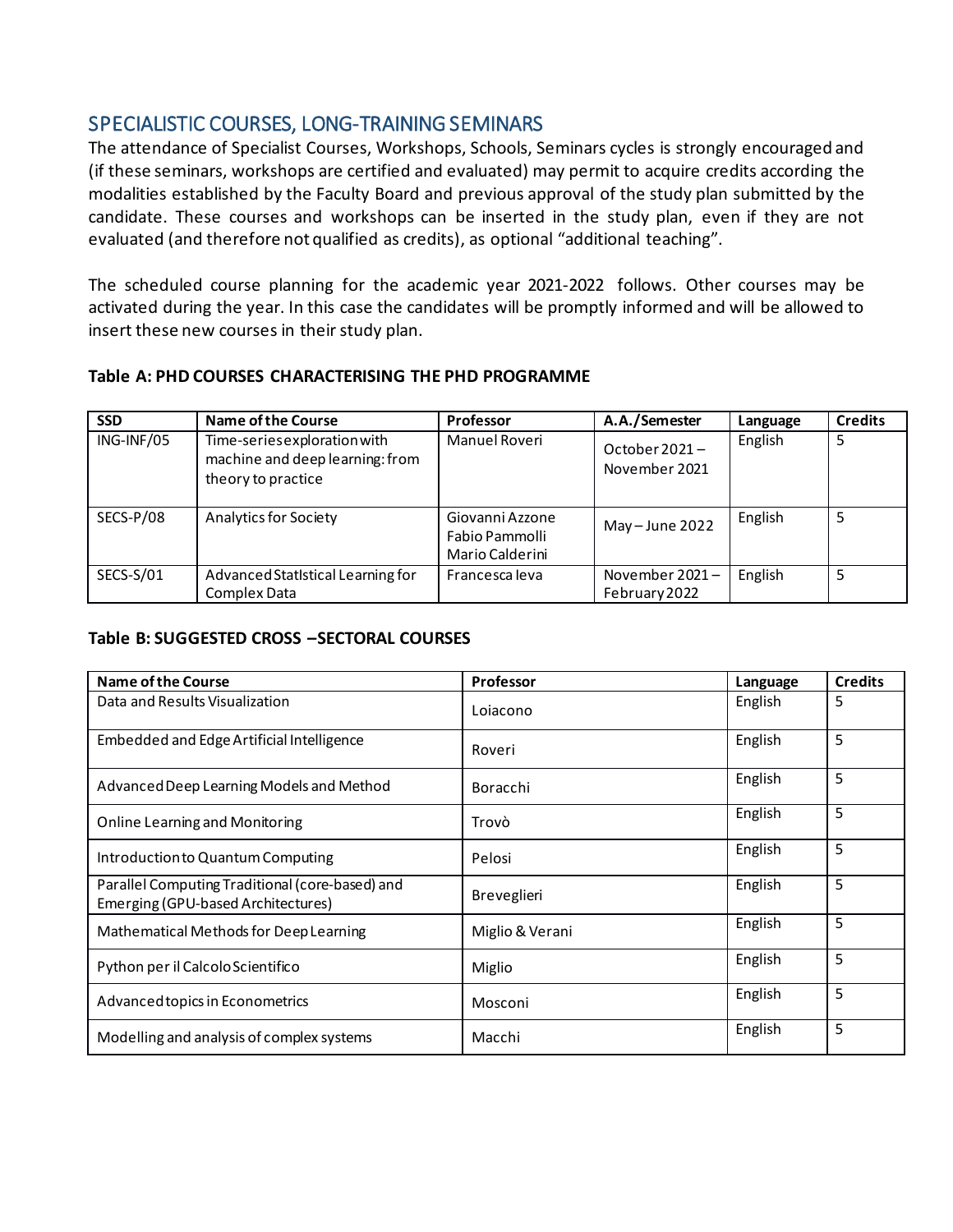### SPECIALISTIC COURSES, LONG-TRAINING SEMINARS

The attendance of Specialist Courses, Workshops, Schools, Seminars cycles is strongly encouraged and (if these seminars, workshops are certified and evaluated) may permit to acquire credits according the modalities established by the Faculty Board and previous approval of the study plan submitted by the candidate. These courses and workshops can be inserted in the study plan, even if they are not evaluated (and therefore not qualified as credits), as optional "additional teaching".

The scheduled course planning for the academic year 2021-2022 follows. Other courses may be activated during the year. In this case the candidates will be promptly informed and will be allowed to insert these new courses in their study plan.

#### **Table A: PHD COURSES CHARACTERISING THE PHD PROGRAMME**

| <b>SSD</b> | <b>Name of the Course</b>                                                             | <b>Professor</b>                                     | A.A./Semester                     | Language | <b>Credits</b> |
|------------|---------------------------------------------------------------------------------------|------------------------------------------------------|-----------------------------------|----------|----------------|
| ING-INF/05 | Time-series exploration with<br>machine and deep learning: from<br>theory to practice | Manuel Roveri                                        | October $2021 -$<br>November 2021 | English  |                |
| SECS-P/08  | <b>Analytics for Society</b>                                                          | Giovanni Azzone<br>Fabio Pammolli<br>Mario Calderini | May $-$ June 2022                 | English  |                |
| SECS-S/01  | Advanced StatIstical Learning for<br>Complex Data                                     | Francesca leva                                       | November 2021-<br>February 2022   | English  |                |

#### **Table B: SUGGESTED CROSS –SECTORAL COURSES**

| Name of the Course                                                                    | <b>Professor</b> | Language | <b>Credits</b> |
|---------------------------------------------------------------------------------------|------------------|----------|----------------|
| Data and Results Visualization                                                        | Lojacono         | English  | 5              |
| Embedded and Edge Artificial Intelligence                                             | Roveri           | English  | 5              |
| Advanced Deep Learning Models and Method                                              | Boracchi         | English  | 5              |
| <b>Online Learning and Monitoring</b>                                                 | Trovò            | English  | 5              |
| Introduction to Quantum Computing                                                     | Pelosi           | English  | 5              |
| Parallel Computing Traditional (core-based) and<br>Emerging (GPU-based Architectures) | Breveglieri      | English  | 5              |
| Mathematical Methods for Deep Learning                                                | Miglio & Verani  | English  | 5              |
| Python per il Calcolo Scientifico                                                     | Miglio           | English  | 5              |
| Advanced topics in Econometrics                                                       | Mosconi          | English  | 5              |
| Modelling and analysis of complex systems                                             | Macchi           | English  | 5              |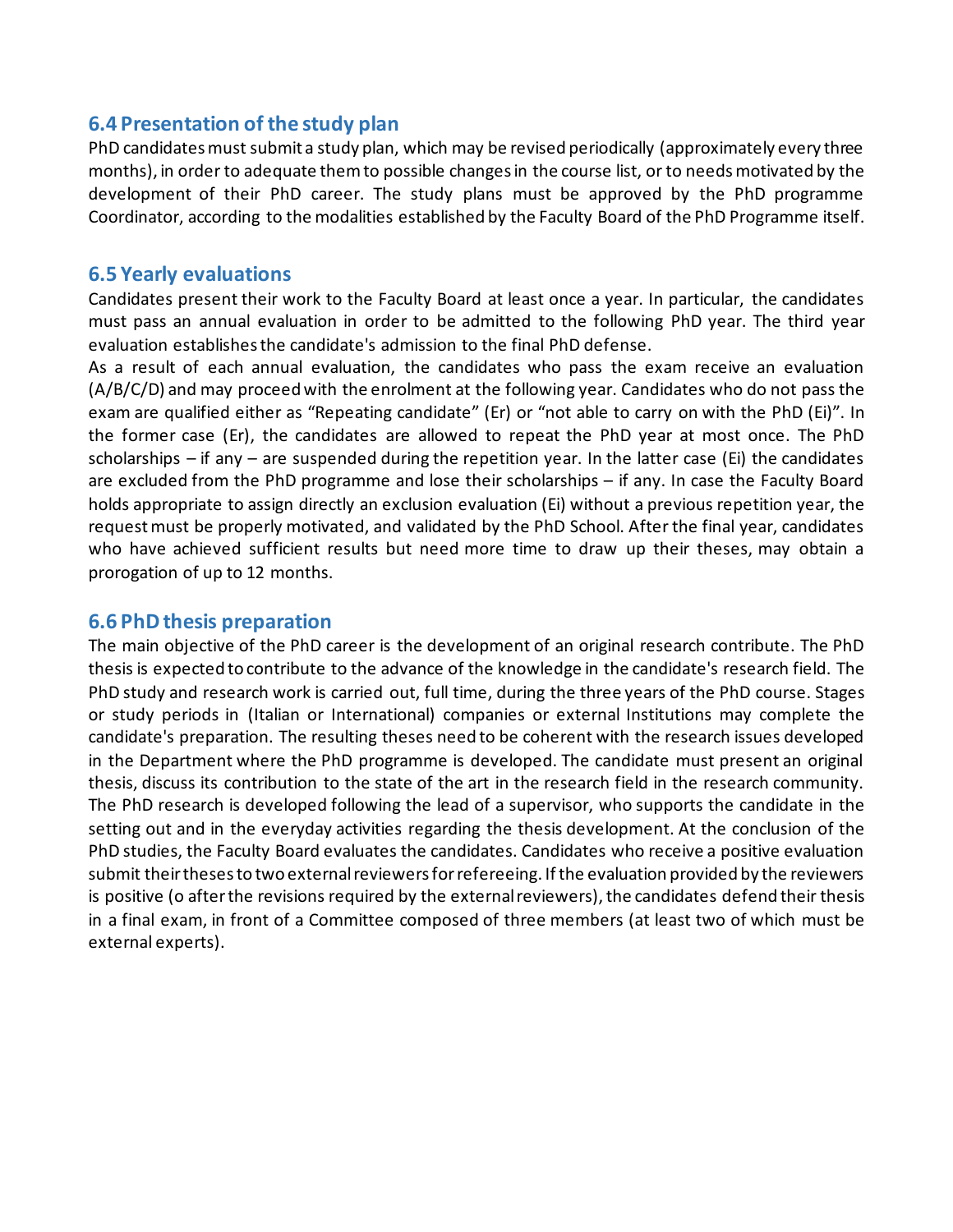#### **6.4 Presentation of the study plan**

PhD candidates must submit a study plan, which may be revised periodically (approximately every three months), in order to adequate them to possible changes in the course list, or to needs motivated by the development of their PhD career. The study plans must be approved by the PhD programme Coordinator, according to the modalities established by the Faculty Board of the PhD Programme itself.

#### **6.5 Yearly evaluations**

Candidates present their work to the Faculty Board at least once a year. In particular, the candidates must pass an annual evaluation in order to be admitted to the following PhD year. The third year evaluation establishes the candidate's admission to the final PhD defense.

As a result of each annual evaluation, the candidates who pass the exam receive an evaluation (A/B/C/D) and may proceed with the enrolment at the following year. Candidates who do not pass the exam are qualified either as "Repeating candidate" (Er) or "not able to carry on with the PhD (Ei)". In the former case (Er), the candidates are allowed to repeat the PhD year at most once. The PhD scholarships – if any – are suspended during the repetition year. In the latter case (Ei) the candidates are excluded from the PhD programme and lose their scholarships – if any. In case the Faculty Board holds appropriate to assign directly an exclusion evaluation (Ei) without a previous repetition year, the request must be properly motivated, and validated by the PhD School. After the final year, candidates who have achieved sufficient results but need more time to draw up their theses, may obtain a prorogation of up to 12 months.

#### **6.6 PhD thesis preparation**

The main objective of the PhD career is the development of an original research contribute. The PhD thesis is expected to contribute to the advance of the knowledge in the candidate's research field. The PhD study and research work is carried out, full time, during the three years of the PhD course. Stages or study periods in (Italian or International) companies or external Institutions may complete the candidate's preparation. The resulting theses need to be coherent with the research issues developed in the Department where the PhD programme is developed. The candidate must present an original thesis, discuss its contribution to the state of the art in the research field in the research community. The PhD research is developed following the lead of a supervisor, who supports the candidate in the setting out and in the everyday activities regarding the thesis development. At the conclusion of the PhD studies, the Faculty Board evaluates the candidates. Candidates who receive a positive evaluation submit their theses to two external reviewers for refereeing. If the evaluation provided by the reviewers is positive (o after the revisions required by the external reviewers), the candidates defend their thesis in a final exam, in front of a Committee composed of three members (at least two of which must be external experts).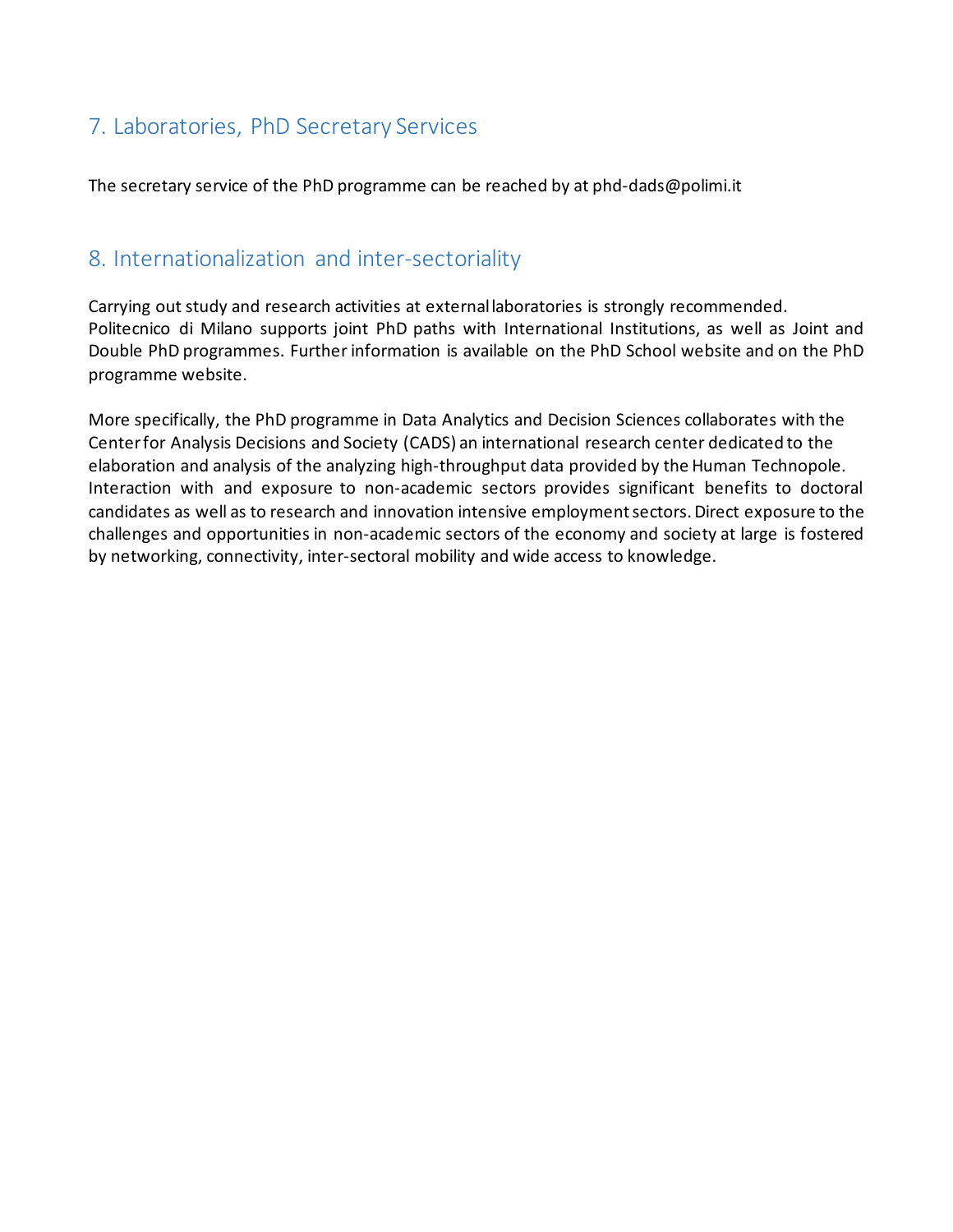# 7. Laboratories, PhD Secretary Services

The secretary service of the PhD programme can be reached by at phd-dads@polimi.it

## 8. Internationalization and inter-sectoriality

Carrying out study and research activities at external laboratories is strongly recommended. Politecnico di Milano supports joint PhD paths with International Institutions, as well as Joint and Double PhD programmes. Further information is available on the PhD School website and on the PhD programme website.

More specifically, the PhD programme in Data Analytics and Decision Sciences collaborates with the Center for Analysis Decisions and Society (CADS) an international research center dedicated to the elaboration and analysis of the analyzing high-throughput data provided by the Human Technopole. Interaction with and exposure to non-academic sectors provides significant benefits to doctoral candidates as well as to research and innovation intensive employment sectors. Direct exposure to the challenges and opportunities in non-academic sectors of the economy and society at large is fostered by networking, connectivity, inter-sectoral mobility and wide access to knowledge.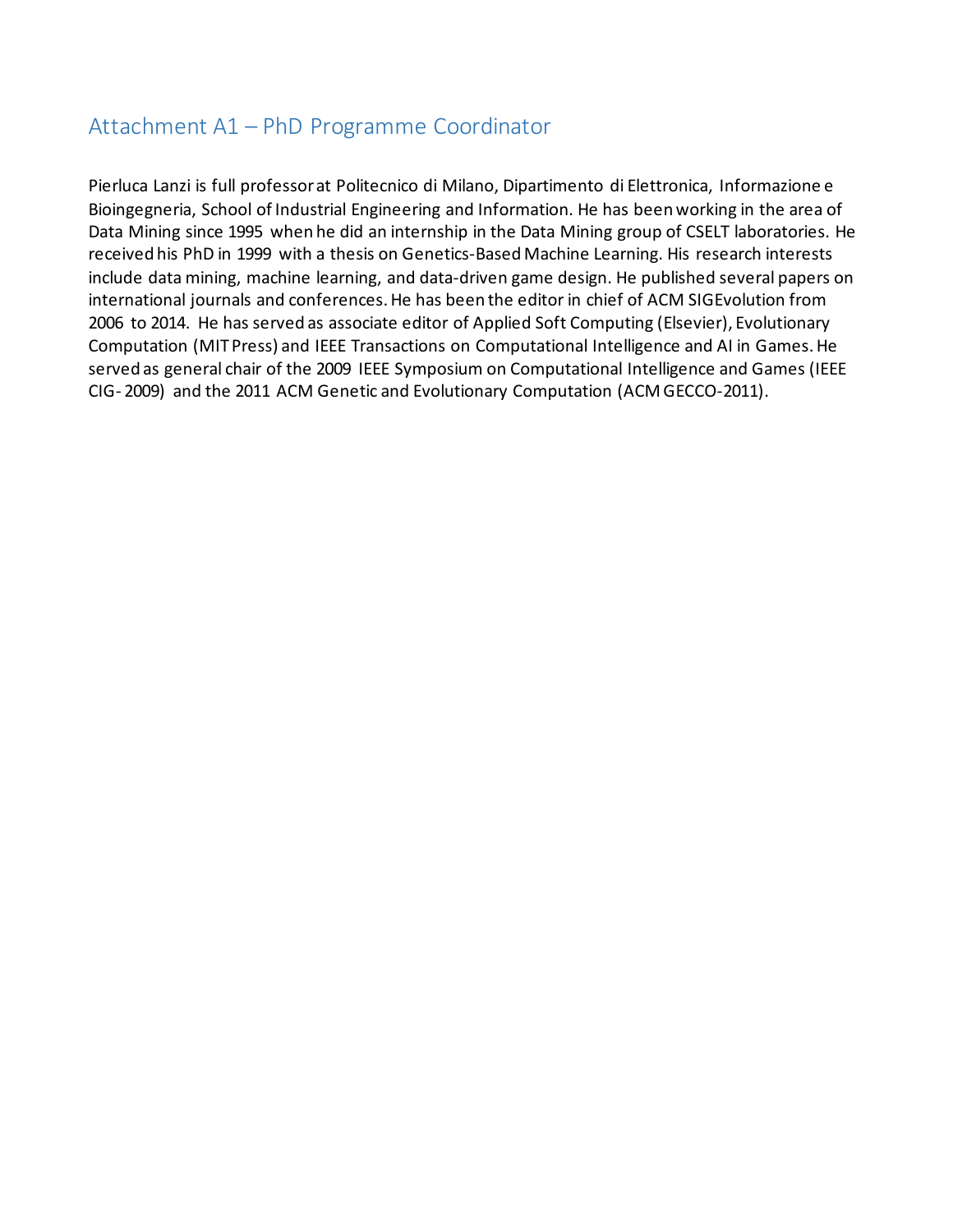### Attachment A1 – PhD Programme Coordinator

Pierluca Lanzi is full professor at Politecnico di Milano, Dipartimento di Elettronica, Informazione e Bioingegneria, School of Industrial Engineering and Information. He has been working in the area of Data Mining since 1995 when he did an internship in the Data Mining group of CSELT laboratories. He received his PhD in 1999 with a thesis on Genetics-Based Machine Learning. His research interests include data mining, machine learning, and data-driven game design. He published several papers on international journals and conferences. He has been the editor in chief of ACM SIGEvolution from 2006 to 2014. He has served as associate editor of Applied Soft Computing (Elsevier), Evolutionary Computation (MIT Press) and IEEE Transactions on Computational Intelligence and AI in Games. He served as general chair of the 2009 IEEE Symposium on Computational Intelligence and Games (IEEE CIG- 2009) and the 2011 ACM Genetic and Evolutionary Computation (ACM GECCO-2011).